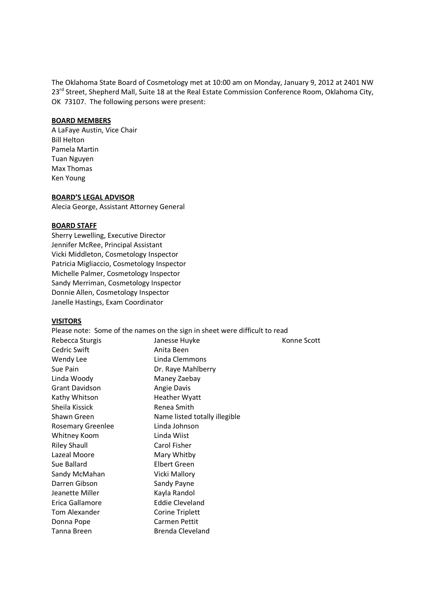The Oklahoma State Board of Cosmetology met at 10:00 am on Monday, January 9, 2012 at 2401 NW 23<sup>rd</sup> Street, Shepherd Mall, Suite 18 at the Real Estate Commission Conference Room, Oklahoma City, OK 73107. The following persons were present:

#### **BOARD MEMBERS**

A LaFaye Austin, Vice Chair Bill Helton Pamela Martin Tuan Nguyen Max Thomas Ken Young

### **BOARD'S LEGAL ADVISOR**

Alecia George, Assistant Attorney General

#### **BOARD STAFF**

Sherry Lewelling, Executive Director Jennifer McRee, Principal Assistant Vicki Middleton, Cosmetology Inspector Patricia Migliaccio, Cosmetology Inspector Michelle Palmer, Cosmetology Inspector Sandy Merriman, Cosmetology Inspector Donnie Allen, Cosmetology Inspector Janelle Hastings, Exam Coordinator

#### **VISITORS**

| Please note: Some of the names on the sign in sheet were difficult to read |             |
|----------------------------------------------------------------------------|-------------|
| Janesse Huyke                                                              | Konne Scott |
| Anita Been                                                                 |             |
| Linda Clemmons                                                             |             |
| Dr. Raye Mahlberry                                                         |             |
| Maney Zaebay                                                               |             |
| Angie Davis                                                                |             |
| Heather Wyatt                                                              |             |
| Renea Smith                                                                |             |
| Name listed totally illegible                                              |             |
| Linda Johnson                                                              |             |
| Linda Wiist                                                                |             |
| Carol Fisher                                                               |             |
| Mary Whitby                                                                |             |
| Elbert Green                                                               |             |
| Vicki Mallory                                                              |             |
| Sandy Payne                                                                |             |
| Kayla Randol                                                               |             |
| <b>Eddie Cleveland</b>                                                     |             |
| Corine Triplett                                                            |             |
| Carmen Pettit                                                              |             |
| Brenda Cleveland                                                           |             |
|                                                                            |             |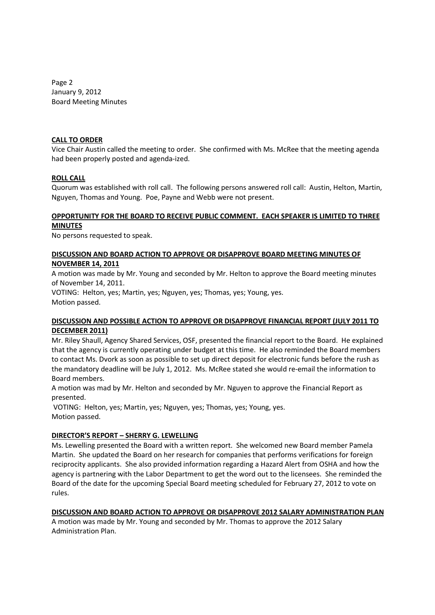Page 2 January 9, 2012 Board Meeting Minutes

#### **CALL TO ORDER**

Vice Chair Austin called the meeting to order. She confirmed with Ms. McRee that the meeting agenda had been properly posted and agenda-ized.

#### **ROLL CALL**

Quorum was established with roll call. The following persons answered roll call: Austin, Helton, Martin, Nguyen, Thomas and Young. Poe, Payne and Webb were not present.

#### **OPPORTUNITY FOR THE BOARD TO RECEIVE PUBLIC COMMENT. EACH SPEAKER IS LIMITED TO THREE MINUTES**

No persons requested to speak.

### **DISCUSSION AND BOARD ACTION TO APPROVE OR DISAPPROVE BOARD MEETING MINUTES OF NOVEMBER 14, 2011**

A motion was made by Mr. Young and seconded by Mr. Helton to approve the Board meeting minutes of November 14, 2011.

VOTING: Helton, yes; Martin, yes; Nguyen, yes; Thomas, yes; Young, yes. Motion passed.

### **DISCUSSION AND POSSIBLE ACTION TO APPROVE OR DISAPPROVE FINANCIAL REPORT (JULY 2011 TO DECEMBER 2011)**

Mr. Riley Shaull, Agency Shared Services, OSF, presented the financial report to the Board. He explained that the agency is currently operating under budget at this time. He also reminded the Board members to contact Ms. Dvork as soon as possible to set up direct deposit for electronic funds before the rush as the mandatory deadline will be July 1, 2012. Ms. McRee stated she would re-email the information to Board members.

A motion was mad by Mr. Helton and seconded by Mr. Nguyen to approve the Financial Report as presented.

VOTING: Helton, yes; Martin, yes; Nguyen, yes; Thomas, yes; Young, yes. Motion passed.

### **DIRECTOR'S REPORT – SHERRY G. LEWELLING**

Ms. Lewelling presented the Board with a written report. She welcomed new Board member Pamela Martin. She updated the Board on her research for companies that performs verifications for foreign reciprocity applicants. She also provided information regarding a Hazard Alert from OSHA and how the agency is partnering with the Labor Department to get the word out to the licensees. She reminded the Board of the date for the upcoming Special Board meeting scheduled for February 27, 2012 to vote on rules.

### **DISCUSSION AND BOARD ACTION TO APPROVE OR DISAPPROVE 2012 SALARY ADMINISTRATION PLAN**

A motion was made by Mr. Young and seconded by Mr. Thomas to approve the 2012 Salary Administration Plan.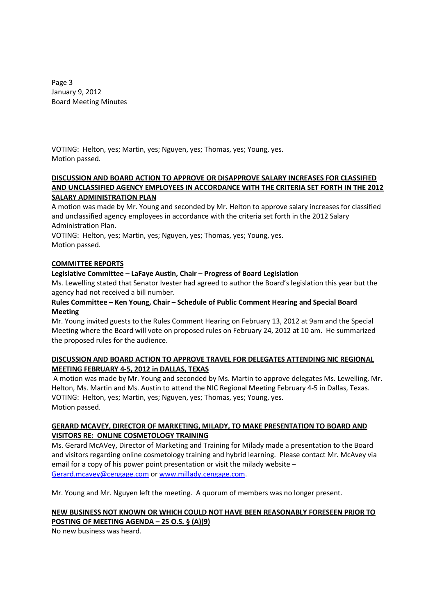Page 3 January 9, 2012 Board Meeting Minutes

VOTING: Helton, yes; Martin, yes; Nguyen, yes; Thomas, yes; Young, yes. Motion passed.

### **DISCUSSION AND BOARD ACTION TO APPROVE OR DISAPPROVE SALARY INCREASES FOR CLASSIFIED AND UNCLASSIFIED AGENCY EMPLOYEES IN ACCORDANCE WITH THE CRITERIA SET FORTH IN THE 2012 SALARY ADMINISTRATION PLAN**

A motion was made by Mr. Young and seconded by Mr. Helton to approve salary increases for classified and unclassified agency employees in accordance with the criteria set forth in the 2012 Salary Administration Plan.

VOTING: Helton, yes; Martin, yes; Nguyen, yes; Thomas, yes; Young, yes. Motion passed.

### **COMMITTEE REPORTS**

## **Legislative Committee – LaFaye Austin, Chair – Progress of Board Legislation**

Ms. Lewelling stated that Senator Ivester had agreed to author the Board's legislation this year but the agency had not received a bill number.

## **Rules Committee – Ken Young, Chair – Schedule of Public Comment Hearing and Special Board Meeting**

Mr. Young invited guests to the Rules Comment Hearing on February 13, 2012 at 9am and the Special Meeting where the Board will vote on proposed rules on February 24, 2012 at 10 am. He summarized the proposed rules for the audience.

## **DISCUSSION AND BOARD ACTION TO APPROVE TRAVEL FOR DELEGATES ATTENDING NIC REGIONAL MEETING FEBRUARY 4-5, 2012 in DALLAS, TEXAS**

A motion was made by Mr. Young and seconded by Ms. Martin to approve delegates Ms. Lewelling, Mr. Helton, Ms. Martin and Ms. Austin to attend the NIC Regional Meeting February 4-5 in Dallas, Texas. VOTING: Helton, yes; Martin, yes; Nguyen, yes; Thomas, yes; Young, yes. Motion passed.

## **GERARD MCAVEY, DIRECTOR OF MARKETING, MILADY, TO MAKE PRESENTATION TO BOARD AND VISITORS RE: ONLINE COSMETOLOGY TRAINING**

Ms. Gerard McAVey, Director of Marketing and Training for Milady made a presentation to the Board and visitors regarding online cosmetology training and hybrid learning. Please contact Mr. McAvey via email for a copy of his power point presentation or visit the milady website – Gerard.mcavey@cengage.com or www.millady.cengage.com.

Mr. Young and Mr. Nguyen left the meeting. A quorum of members was no longer present.

# **NEW BUSINESS NOT KNOWN OR WHICH COULD NOT HAVE BEEN REASONABLY FORESEEN PRIOR TO POSTING OF MEETING AGENDA – 25 O.S. § (A)(9)**

No new business was heard.